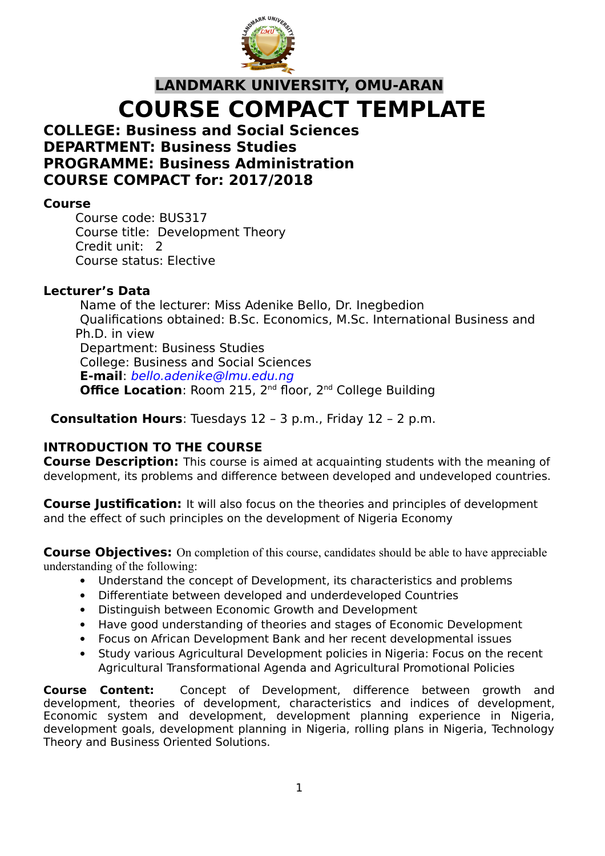

# **LANDMARK UNIVERSITY, OMU-ARAN COURSE COMPACT TEMPLATE**

### **COLLEGE: Business and Social Sciences DEPARTMENT: Business Studies PROGRAMME: Business Administration COURSE COMPACT for: 2017/2018**

#### **Course**

Course code: BUS317 Course title: Development Theory Credit unit: 2 Course status: Elective

#### **Lecturer's Data**

Name of the lecturer: Miss Adenike Bello, Dr. Inegbedion Qualifications obtained: B.Sc. Economics, M.Sc. International Business and Ph.D. in view Department: Business Studies College: Business and Social Sciences **E-mail**: bello.adenike@lmu.edu.ng **Office Location: Room 215, 2<sup>nd</sup> floor, 2<sup>nd</sup> College Building** 

**Consultation Hours**: Tuesdays 12 – 3 p.m., Friday 12 – 2 p.m.

### **INTRODUCTION TO THE COURSE**

**Course Description:** This course is aimed at acquainting students with the meaning of development, its problems and difference between developed and undeveloped countries.

**Course Justification:** It will also focus on the theories and principles of development and the effect of such principles on the development of Nigeria Economy

**Course Objectives:** On completion of this course, candidates should be able to have appreciable understanding of the following:

- Understand the concept of Development, its characteristics and problems
- Differentiate between developed and underdeveloped Countries
- Distinguish between Economic Growth and Development
- Have good understanding of theories and stages of Economic Development
- Focus on African Development Bank and her recent developmental issues
- Study various Agricultural Development policies in Nigeria: Focus on the recent Agricultural Transformational Agenda and Agricultural Promotional Policies

**Course Content:** Concept of Development, difference between growth and development, theories of development, characteristics and indices of development, Economic system and development, development planning experience in Nigeria, development goals, development planning in Nigeria, rolling plans in Nigeria, Technology Theory and Business Oriented Solutions.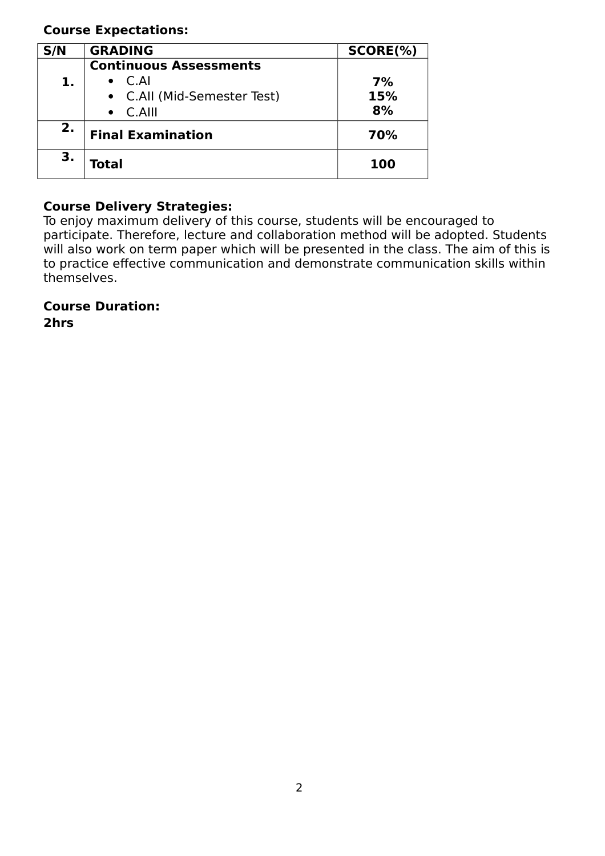#### **Course Expectations:**

| S/N | <b>GRADING</b>                | SCORE(%) |
|-----|-------------------------------|----------|
|     | <b>Continuous Assessments</b> |          |
| 1.  | $\bullet$ C.AI                | 7%       |
|     | • C.All (Mid-Semester Test)   | 15%      |
|     | C.AIII<br>$\bullet$           | 8%       |
| 2.  | <b>Final Examination</b>      | 70%      |
| 3.  | Total                         | 100      |

#### **Course Delivery Strategies:**

To enjoy maximum delivery of this course, students will be encouraged to participate. Therefore, lecture and collaboration method will be adopted. Students will also work on term paper which will be presented in the class. The aim of this is to practice effective communication and demonstrate communication skills within themselves.

#### **Course Duration: 2hrs**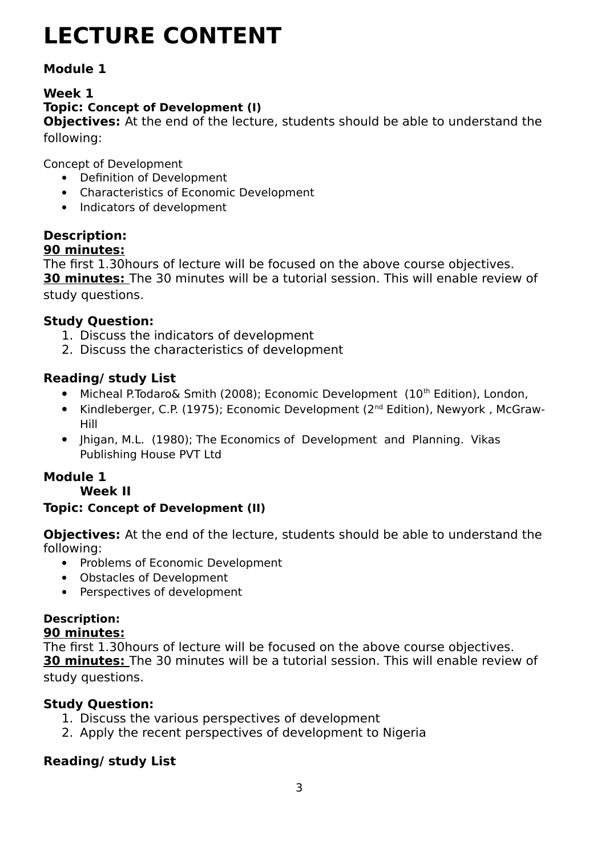# **LECTURE CONTENT**

### **Module 1**

#### **Week 1 Topic: Concept of Development (I)**

**Objectives:** At the end of the lecture, students should be able to understand the following:

Concept of Development

- Definition of Development
- Characteristics of Economic Development
- Indicators of development

# **Description:**

#### **90 minutes:**

The first 1.30hours of lecture will be focused on the above course objectives. **30 minutes:** The 30 minutes will be a tutorial session. This will enable review of study questions.

#### **Study Question:**

- 1. Discuss the indicators of development
- 2. Discuss the characteristics of development

#### **Reading/ study List**

- Micheal P.Todaro& Smith (2008); Economic Development (10<sup>th</sup> Edition), London,
- Kindleberger, C.P. (1975); Economic Development (2<sup>nd</sup> Edition), Newyork, McGraw-Hill
- Ihigan, M.L. (1980); The Economics of Development and Planning. Vikas Publishing House PVT Ltd

### **Module 1**

**Week II**

#### **Topic: Concept of Development (II)**

**Objectives:** At the end of the lecture, students should be able to understand the following:

- Problems of Economic Development
- Obstacles of Development
- Perspectives of development

### **Description:**

#### **90 minutes:**

The first 1.30hours of lecture will be focused on the above course objectives. **30 minutes:** The 30 minutes will be a tutorial session. This will enable review of study questions.

#### **Study Question:**

- 1. Discuss the various perspectives of development
- 2. Apply the recent perspectives of development to Nigeria

### **Reading/ study List**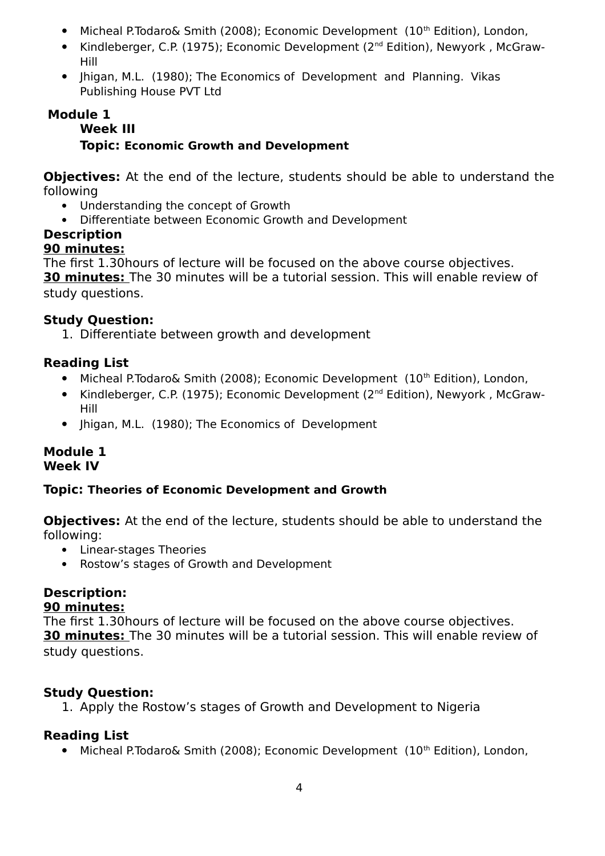- Micheal P.Todaro& Smith (2008); Economic Development (10<sup>th</sup> Edition), London,
- Kindleberger, C.P. (1975); Economic Development (2<sup>nd</sup> Edition), Newyork, McGraw-Hill
- Ihigan, M.L. (1980); The Economics of Development and Planning. Vikas Publishing House PVT Ltd

# **Module 1**

#### **Week III Topic: Economic Growth and Development**

**Objectives:** At the end of the lecture, students should be able to understand the following

- Understanding the concept of Growth
- Differentiate between Economic Growth and Development

# **Description**

#### **90 minutes:**

The first 1.30hours of lecture will be focused on the above course objectives. **30 minutes:** The 30 minutes will be a tutorial session. This will enable review of study questions.

#### **Study Question:**

1. Differentiate between growth and development

### **Reading List**

- Micheal P.Todaro& Smith (2008); Economic Development (10<sup>th</sup> Edition), London,
- Kindleberger, C.P. (1975); Economic Development (2<sup>nd</sup> Edition), Newyork, McGraw-Hill
- Jhigan, M.L. (1980); The Economics of Development

#### **Module 1 Week IV**

#### **Topic: Theories of Economic Development and Growth**

**Objectives:** At the end of the lecture, students should be able to understand the following:

- Linear-stages Theories
- Rostow's stages of Growth and Development

### **Description:**

#### **90 minutes:**

The first 1.30hours of lecture will be focused on the above course objectives. **30 minutes:** The 30 minutes will be a tutorial session. This will enable review of study questions.

#### **Study Question:**

1. Apply the Rostow's stages of Growth and Development to Nigeria

#### **Reading List**

• Micheal P.Todaro& Smith (2008): Economic Development (10<sup>th</sup> Edition), London,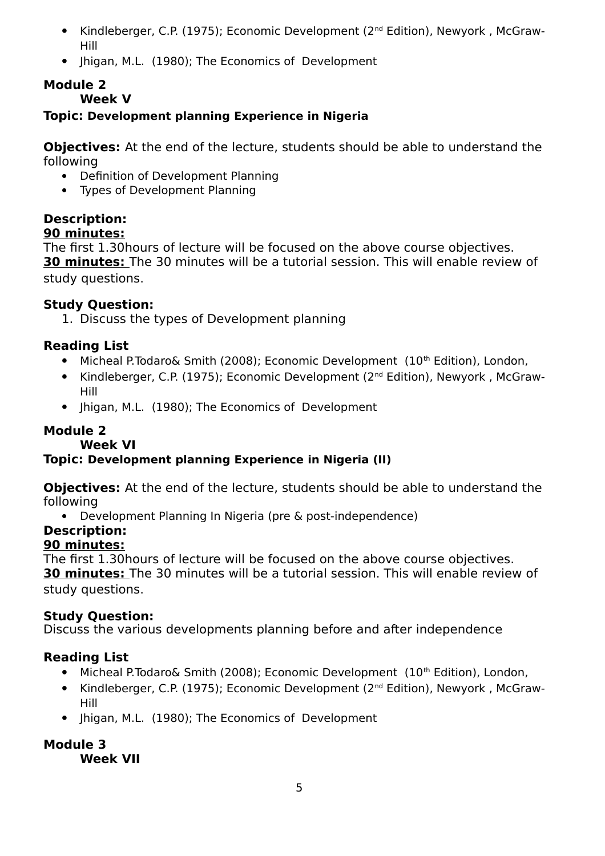- Kindleberger, C.P. (1975); Economic Development (2<sup>nd</sup> Edition), Newyork, McGraw-Hill
- Jhigan, M.L. (1980); The Economics of Development

#### **Module 2 Week V**

#### **Topic: Development planning Experience in Nigeria**

**Objectives:** At the end of the lecture, students should be able to understand the following

- Definition of Development Planning
- Types of Development Planning

# **Description:**

#### **90 minutes:**

The first 1.30hours of lecture will be focused on the above course objectives. **30 minutes:** The 30 minutes will be a tutorial session. This will enable review of study questions.

#### **Study Question:**

1. Discuss the types of Development planning

#### **Reading List**

- Micheal P.Todaro& Smith (2008); Economic Development (10<sup>th</sup> Edition), London,
- Kindleberger, C.P. (1975); Economic Development (2<sup>nd</sup> Edition), Newyork, McGraw-Hill
- Ihigan, M.L. (1980); The Economics of Development

#### **Module 2**

#### **Week VI**

#### **Topic: Development planning Experience in Nigeria (II)**

**Objectives:** At the end of the lecture, students should be able to understand the following

- Development Planning In Nigeria (pre & post-independence)
- **Description:**

#### **90 minutes:**

The first 1.30hours of lecture will be focused on the above course objectives. **30 minutes:** The 30 minutes will be a tutorial session. This will enable review of study questions.

#### **Study Question:**

Discuss the various developments planning before and after independence

#### **Reading List**

- Micheal P.Todaro& Smith (2008); Economic Development (10<sup>th</sup> Edition), London,
- Kindleberger, C.P. (1975); Economic Development (2<sup>nd</sup> Edition), Newyork, McGraw-Hill
- Jhigan, M.L. (1980); The Economics of Development

**Module 3 Week VII**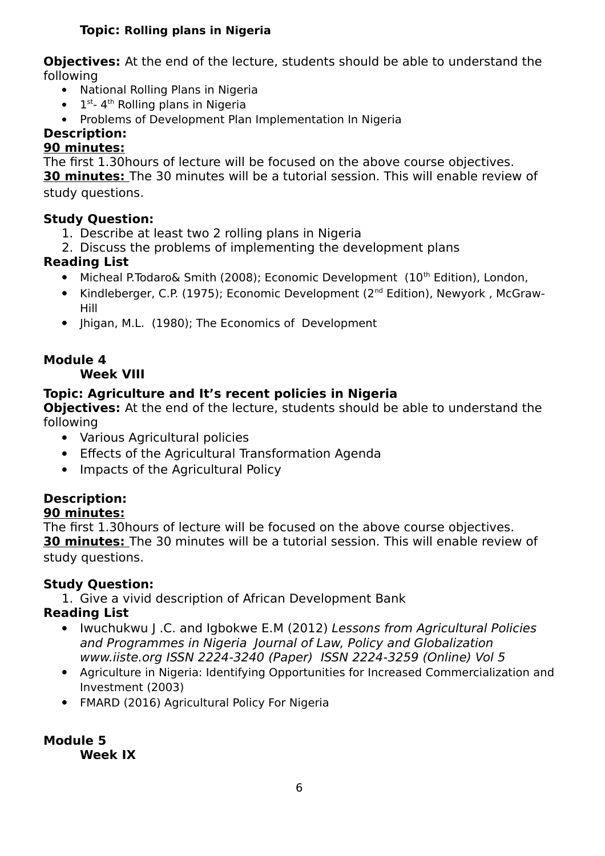#### **Topic: Rolling plans in Nigeria**

**Objectives:** At the end of the lecture, students should be able to understand the following

- National Rolling Plans in Nigeria
- $\bullet$  1<sup>st</sup>- 4<sup>th</sup> Rolling plans in Nigeria
- Problems of Development Plan Implementation In Nigeria

# **Description:**

#### **90 minutes:**

The first 1.30hours of lecture will be focused on the above course objectives.

**30 minutes:** The 30 minutes will be a tutorial session. This will enable review of study questions.

#### **Study Question:**

- 1. Describe at least two 2 rolling plans in Nigeria
- 2. Discuss the problems of implementing the development plans

### **Reading List**

- Micheal P.Todaro& Smith (2008); Economic Development (10<sup>th</sup> Edition), London,
- Kindleberger, C.P. (1975); Economic Development (2<sup>nd</sup> Edition), Newyork, McGraw-Hill
- Jhigan, M.L. (1980); The Economics of Development

### **Module 4**

#### **Week VIII**

#### **Topic: Agriculture and It's recent policies in Nigeria**

**Objectives:** At the end of the lecture, students should be able to understand the following

- Various Agricultural policies
- Effects of the Agricultural Transformation Agenda
- Impacts of the Agricultural Policy

# **Description:**

# **90 minutes:**

The first 1.30hours of lecture will be focused on the above course objectives. **30 minutes:** The 30 minutes will be a tutorial session. This will enable review of study questions.

### **Study Question:**

1. Give a vivid description of African Development Bank

### **Reading List**

- Iwuchukwu J.C. and Igbokwe E.M (2012) Lessons from Agricultural Policies and Programmes in Nigeria Journal of Law, Policy and Globalization www.iiste.org ISSN 2224-3240 (Paper) ISSN 2224-3259 (Online) Vol 5
- Agriculture in Nigeria: Identifying Opportunities for Increased Commercialization and Investment (2003)
- FMARD (2016) Agricultural Policy For Nigeria

**Module 5 Week IX**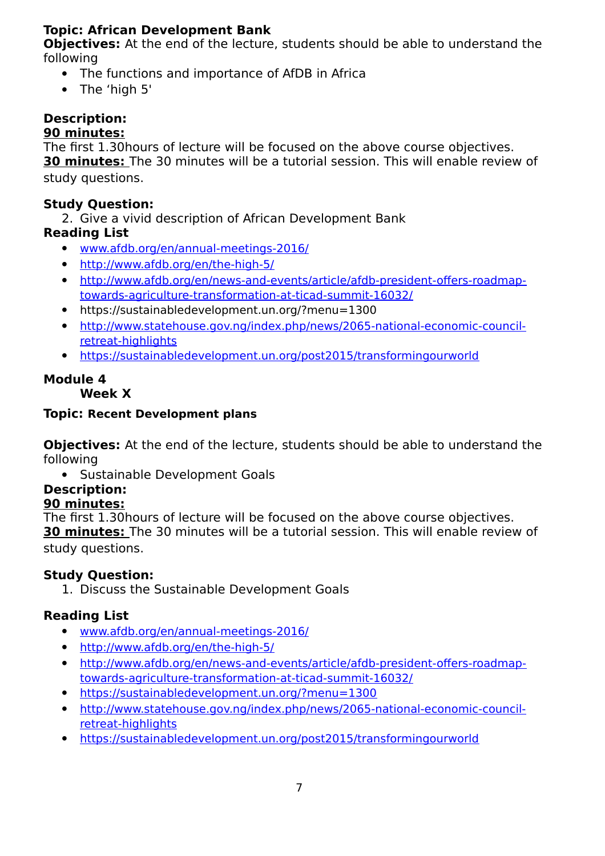### **Topic: African Development Bank**

**Objectives:** At the end of the lecture, students should be able to understand the following

- The functions and importance of AfDB in Africa
- The 'high 5'

# **Description:**

### **90 minutes:**

The first 1.30hours of lecture will be focused on the above course objectives. **30 minutes:** The 30 minutes will be a tutorial session. This will enable review of study questions.

#### **Study Question:**

2. Give a vivid description of African Development Bank

#### **Reading List**

- [www.afdb.org/en/annual-meetings-2016/](http://www.afdb.org/en/annual-meetings-2016/)
- <http://www.afdb.org/en/the-high-5/>
- [http://www.afdb.org/en/news-and-events/article/afdb-president-offers-roadmap](http://www.afdb.org/en/news-and-events/article/afdb-president-offers-roadmap-towards-agriculture-transformation-at-ticad-summit-16032/)[towards-agriculture-transformation-at-ticad-summit-16032/](http://www.afdb.org/en/news-and-events/article/afdb-president-offers-roadmap-towards-agriculture-transformation-at-ticad-summit-16032/)
- https://sustainabledevelopment.un.org/?menu=1300
- [http://www.statehouse.gov.ng/index.php/news/2065-national-economic-council](http://www.statehouse.gov.ng/index.php/news/2065-national-economic-council-retreat-highlights)[retreat-highlights](http://www.statehouse.gov.ng/index.php/news/2065-national-economic-council-retreat-highlights)
- <https://sustainabledevelopment.un.org/post2015/transformingourworld>

# **Module 4**

### **Week X**

#### **Topic: Recent Development plans**

**Objectives:** At the end of the lecture, students should be able to understand the following

• Sustainable Development Goals

# **Description:**

#### **90 minutes:**

The first 1.30hours of lecture will be focused on the above course objectives. **30 minutes:** The 30 minutes will be a tutorial session. This will enable review of study questions.

### **Study Question:**

1. Discuss the Sustainable Development Goals

### **Reading List**

- [www.afdb.org/en/annual-meetings-2016/](http://www.afdb.org/en/annual-meetings-2016/)
- <http://www.afdb.org/en/the-high-5/>
- [http://www.afdb.org/en/news-and-events/article/afdb-president-offers-roadmap](http://www.afdb.org/en/news-and-events/article/afdb-president-offers-roadmap-towards-agriculture-transformation-at-ticad-summit-16032/)[towards-agriculture-transformation-at-ticad-summit-16032/](http://www.afdb.org/en/news-and-events/article/afdb-president-offers-roadmap-towards-agriculture-transformation-at-ticad-summit-16032/)
- <https://sustainabledevelopment.un.org/?menu=1300>
- [http://www.statehouse.gov.ng/index.php/news/2065-national-economic-council](http://www.statehouse.gov.ng/index.php/news/2065-national-economic-council-retreat-highlights)[retreat-highlights](http://www.statehouse.gov.ng/index.php/news/2065-national-economic-council-retreat-highlights)
- <https://sustainabledevelopment.un.org/post2015/transformingourworld>